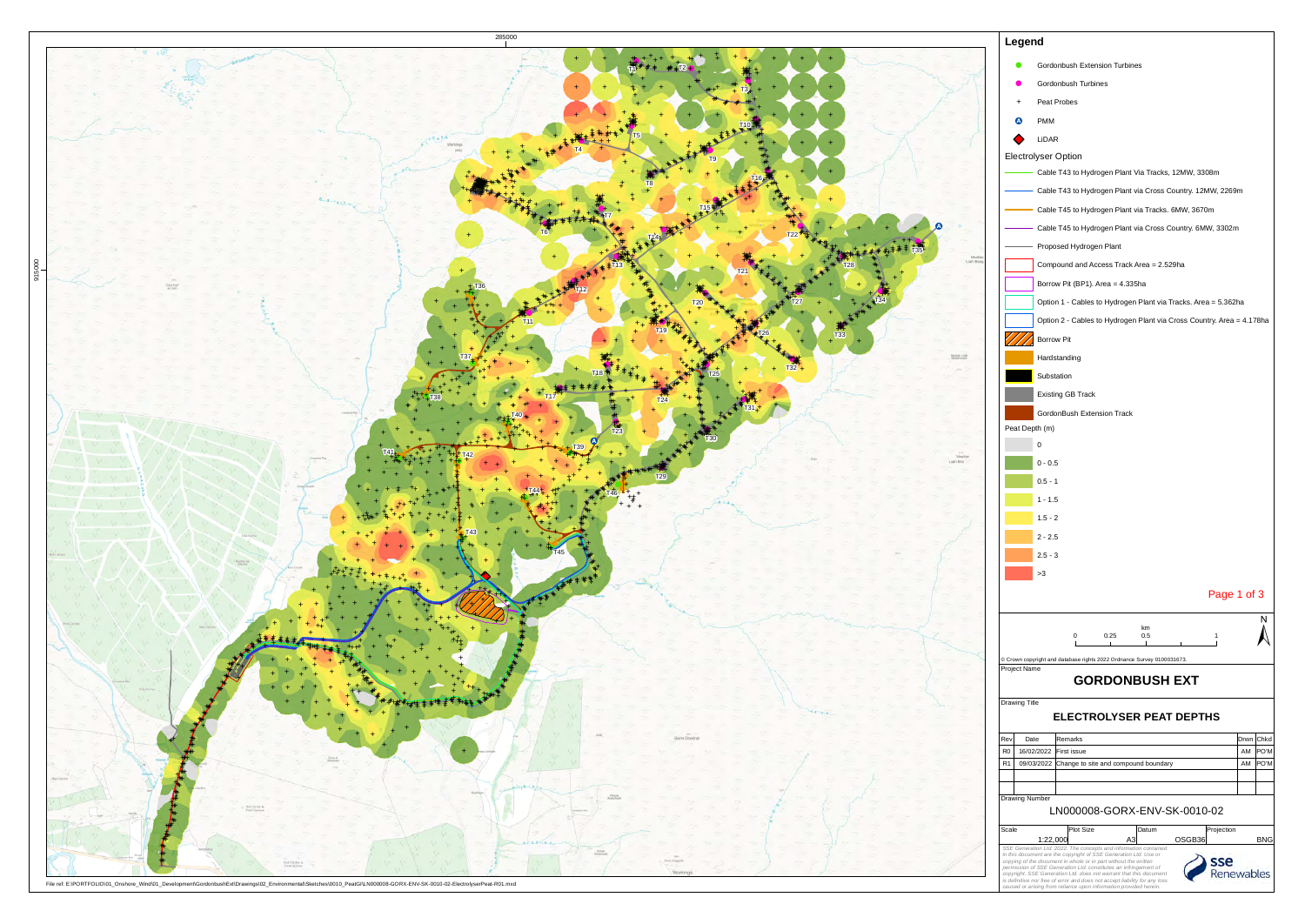

File ref: E:\PORTFOLIO\01\_Onshore\_Wind\01\_Development\GordonbushExt\Drawings\02\_Environmental\Sketches\0010\_PeatGI\LN000008-GORX-ENV-SK-0010-02-ElectrolyserPeat-R01.mxd

|                                  | Legend                                                                                                                                                                                                                                                                                                                                                                                                                                                                                                            |                                                                        |          |              |  |  |  |  |  |  |  |
|----------------------------------|-------------------------------------------------------------------------------------------------------------------------------------------------------------------------------------------------------------------------------------------------------------------------------------------------------------------------------------------------------------------------------------------------------------------------------------------------------------------------------------------------------------------|------------------------------------------------------------------------|----------|--------------|--|--|--|--|--|--|--|
| Gordonbush Extension Turbines    |                                                                                                                                                                                                                                                                                                                                                                                                                                                                                                                   |                                                                        |          |              |  |  |  |  |  |  |  |
|                                  |                                                                                                                                                                                                                                                                                                                                                                                                                                                                                                                   | Gordonbush Turbines                                                    |          |              |  |  |  |  |  |  |  |
|                                  | $+$                                                                                                                                                                                                                                                                                                                                                                                                                                                                                                               | Peat Probes                                                            |          |              |  |  |  |  |  |  |  |
|                                  | <b>PMM</b><br>A)                                                                                                                                                                                                                                                                                                                                                                                                                                                                                                  |                                                                        |          |              |  |  |  |  |  |  |  |
|                                  |                                                                                                                                                                                                                                                                                                                                                                                                                                                                                                                   |                                                                        |          |              |  |  |  |  |  |  |  |
|                                  | LiDAR<br><b>Electrolyser Option</b>                                                                                                                                                                                                                                                                                                                                                                                                                                                                               |                                                                        |          |              |  |  |  |  |  |  |  |
|                                  |                                                                                                                                                                                                                                                                                                                                                                                                                                                                                                                   | Cable T43 to Hydrogen Plant Via Tracks, 12MW, 3308m                    |          |              |  |  |  |  |  |  |  |
|                                  |                                                                                                                                                                                                                                                                                                                                                                                                                                                                                                                   | Cable T43 to Hydrogen Plant via Cross Country. 12MW, 2269m             |          |              |  |  |  |  |  |  |  |
|                                  |                                                                                                                                                                                                                                                                                                                                                                                                                                                                                                                   | Cable T45 to Hydrogen Plant via Tracks. 6MW, 3670m                     |          |              |  |  |  |  |  |  |  |
|                                  |                                                                                                                                                                                                                                                                                                                                                                                                                                                                                                                   | Cable T45 to Hydrogen Plant via Cross Country. 6MW, 3302m              |          |              |  |  |  |  |  |  |  |
|                                  |                                                                                                                                                                                                                                                                                                                                                                                                                                                                                                                   | Proposed Hydrogen Plant                                                |          |              |  |  |  |  |  |  |  |
|                                  |                                                                                                                                                                                                                                                                                                                                                                                                                                                                                                                   | Compound and Access Track Area = 2.529ha                               |          |              |  |  |  |  |  |  |  |
|                                  |                                                                                                                                                                                                                                                                                                                                                                                                                                                                                                                   | Borrow Pit (BP1). Area = 4.335ha                                       |          |              |  |  |  |  |  |  |  |
|                                  |                                                                                                                                                                                                                                                                                                                                                                                                                                                                                                                   | Option 1 - Cables to Hydrogen Plant via Tracks. Area = 5.362ha         |          |              |  |  |  |  |  |  |  |
|                                  |                                                                                                                                                                                                                                                                                                                                                                                                                                                                                                                   | Option 2 - Cables to Hydrogen Plant via Cross Country. Area = 4.178ha  |          |              |  |  |  |  |  |  |  |
|                                  |                                                                                                                                                                                                                                                                                                                                                                                                                                                                                                                   | Borrow Pit                                                             |          |              |  |  |  |  |  |  |  |
|                                  |                                                                                                                                                                                                                                                                                                                                                                                                                                                                                                                   | Hardstanding                                                           |          |              |  |  |  |  |  |  |  |
|                                  |                                                                                                                                                                                                                                                                                                                                                                                                                                                                                                                   | Substation                                                             |          |              |  |  |  |  |  |  |  |
|                                  |                                                                                                                                                                                                                                                                                                                                                                                                                                                                                                                   |                                                                        |          |              |  |  |  |  |  |  |  |
|                                  |                                                                                                                                                                                                                                                                                                                                                                                                                                                                                                                   | <b>Existing GB Track</b>                                               |          |              |  |  |  |  |  |  |  |
|                                  | Peat Depth (m)                                                                                                                                                                                                                                                                                                                                                                                                                                                                                                    | GordonBush Extension Track                                             |          |              |  |  |  |  |  |  |  |
|                                  | 0                                                                                                                                                                                                                                                                                                                                                                                                                                                                                                                 |                                                                        |          |              |  |  |  |  |  |  |  |
|                                  | $0 - 0.5$                                                                                                                                                                                                                                                                                                                                                                                                                                                                                                         |                                                                        |          |              |  |  |  |  |  |  |  |
|                                  | $0.5 - 1$                                                                                                                                                                                                                                                                                                                                                                                                                                                                                                         |                                                                        |          |              |  |  |  |  |  |  |  |
|                                  | 1 - 1.5                                                                                                                                                                                                                                                                                                                                                                                                                                                                                                           |                                                                        |          |              |  |  |  |  |  |  |  |
|                                  | $1.5 - 2$                                                                                                                                                                                                                                                                                                                                                                                                                                                                                                         |                                                                        |          |              |  |  |  |  |  |  |  |
|                                  | $2 - 2.5$                                                                                                                                                                                                                                                                                                                                                                                                                                                                                                         |                                                                        |          |              |  |  |  |  |  |  |  |
|                                  | $2.5 - 3$                                                                                                                                                                                                                                                                                                                                                                                                                                                                                                         |                                                                        |          |              |  |  |  |  |  |  |  |
|                                  | >3                                                                                                                                                                                                                                                                                                                                                                                                                                                                                                                |                                                                        |          |              |  |  |  |  |  |  |  |
|                                  |                                                                                                                                                                                                                                                                                                                                                                                                                                                                                                                   | Page 1 of 3                                                            |          |              |  |  |  |  |  |  |  |
|                                  |                                                                                                                                                                                                                                                                                                                                                                                                                                                                                                                   |                                                                        |          |              |  |  |  |  |  |  |  |
|                                  |                                                                                                                                                                                                                                                                                                                                                                                                                                                                                                                   | km<br>0<br>0.25<br>0.5<br>1<br>л.                                      |          |              |  |  |  |  |  |  |  |
|                                  |                                                                                                                                                                                                                                                                                                                                                                                                                                                                                                                   | © Crown copyright and database rights 2022 Ordnance Survey 0100031673. |          |              |  |  |  |  |  |  |  |
|                                  | Project Name                                                                                                                                                                                                                                                                                                                                                                                                                                                                                                      | <b>GORDONBUSH EXT</b>                                                  |          |              |  |  |  |  |  |  |  |
|                                  | <b>Drawing Title</b>                                                                                                                                                                                                                                                                                                                                                                                                                                                                                              | <b>ELECTROLYSER PEAT DEPTHS</b>                                        |          |              |  |  |  |  |  |  |  |
| Rev                              | Date                                                                                                                                                                                                                                                                                                                                                                                                                                                                                                              | Remarks                                                                |          | Drwn Chkd    |  |  |  |  |  |  |  |
| R <sub>0</sub><br>R <sub>1</sub> | 16/02/2022<br>09/03/2022                                                                                                                                                                                                                                                                                                                                                                                                                                                                                          | First issue                                                            | AM<br>AM | PO'M<br>PO'M |  |  |  |  |  |  |  |
|                                  |                                                                                                                                                                                                                                                                                                                                                                                                                                                                                                                   | Change to site and compound boundary                                   |          |              |  |  |  |  |  |  |  |
|                                  | Drawing Number                                                                                                                                                                                                                                                                                                                                                                                                                                                                                                    |                                                                        |          |              |  |  |  |  |  |  |  |
| LN000008-GORX-ENV-SK-0010-02     |                                                                                                                                                                                                                                                                                                                                                                                                                                                                                                                   |                                                                        |          |              |  |  |  |  |  |  |  |
| Scale                            | 1:22,000                                                                                                                                                                                                                                                                                                                                                                                                                                                                                                          | <b>Plot Size</b><br>Datum<br>Projection<br>A3<br>OSGB36                |          | <b>BNG</b>   |  |  |  |  |  |  |  |
|                                  | SSE Generation Ltd. 2022. The concepts and information contained<br>in this document are the copyright of SSE Generation Ltd. Use or<br>copying of the document in whole or in part without the written<br>permission of SSE Generation Ltd. constitutes an infringement of<br>enewables<br>copyright. SSE Generation Ltd. does not warrant that this document<br>is definitive nor free of error and does not accept liability for any loss<br>caused or arising from reliance upon information provided herein. |                                                                        |          |              |  |  |  |  |  |  |  |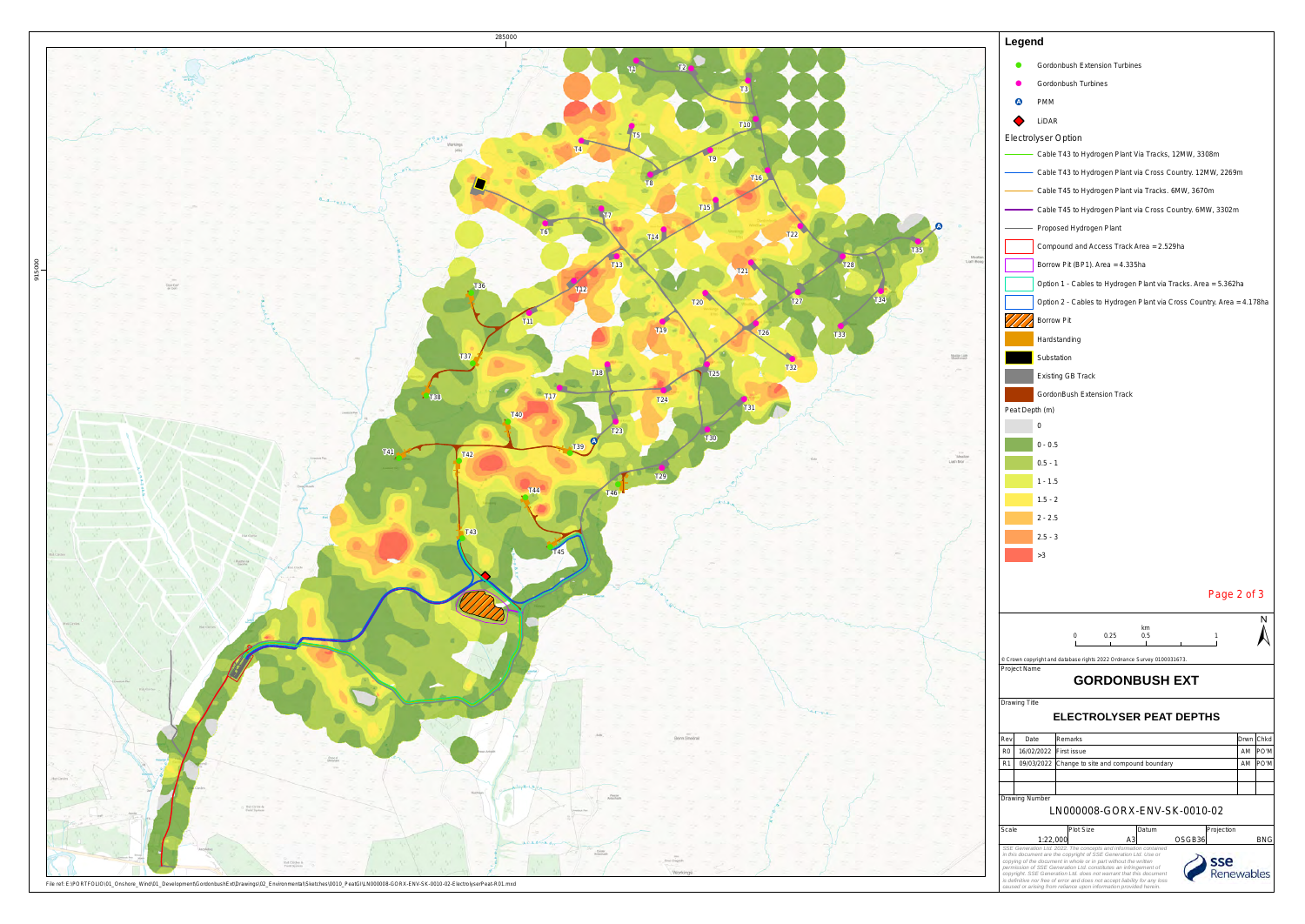|                                                                                                                                                                                                         | Legend                                                       |                                                                                                                                                                                                                      |           |      |  |  |  |  |  |
|---------------------------------------------------------------------------------------------------------------------------------------------------------------------------------------------------------|--------------------------------------------------------------|----------------------------------------------------------------------------------------------------------------------------------------------------------------------------------------------------------------------|-----------|------|--|--|--|--|--|
| Gordonbush Extension Turbines                                                                                                                                                                           |                                                              |                                                                                                                                                                                                                      |           |      |  |  |  |  |  |
|                                                                                                                                                                                                         |                                                              | Gordonbush Turbines                                                                                                                                                                                                  |           |      |  |  |  |  |  |
|                                                                                                                                                                                                         | <b>PMM</b>                                                   |                                                                                                                                                                                                                      |           |      |  |  |  |  |  |
|                                                                                                                                                                                                         | <b>LiDAR</b>                                                 |                                                                                                                                                                                                                      |           |      |  |  |  |  |  |
|                                                                                                                                                                                                         | <b>Electrolyser Option</b>                                   |                                                                                                                                                                                                                      |           |      |  |  |  |  |  |
|                                                                                                                                                                                                         |                                                              | Cable T43 to Hydrogen Plant Via Tracks, 12MW, 3308m                                                                                                                                                                  |           |      |  |  |  |  |  |
|                                                                                                                                                                                                         |                                                              |                                                                                                                                                                                                                      |           |      |  |  |  |  |  |
|                                                                                                                                                                                                         | - Cable T43 to Hydrogen Plant via Cross Country. 12MW, 2269m |                                                                                                                                                                                                                      |           |      |  |  |  |  |  |
|                                                                                                                                                                                                         |                                                              | Cable T45 to Hydrogen Plant via Tracks. 6MW, 3670m                                                                                                                                                                   |           |      |  |  |  |  |  |
|                                                                                                                                                                                                         |                                                              | Cable T45 to Hydrogen Plant via Cross Country. 6MW, 3302m                                                                                                                                                            |           |      |  |  |  |  |  |
|                                                                                                                                                                                                         |                                                              | Proposed Hydrogen Plant                                                                                                                                                                                              |           |      |  |  |  |  |  |
|                                                                                                                                                                                                         |                                                              | Compound and Access Track Area = 2.529ha                                                                                                                                                                             |           |      |  |  |  |  |  |
|                                                                                                                                                                                                         |                                                              | Borrow Pit (BP1). Area = 4.335ha                                                                                                                                                                                     |           |      |  |  |  |  |  |
|                                                                                                                                                                                                         |                                                              | Option 1 - Cables to Hydrogen Plant via Tracks. Area = 5.362ha                                                                                                                                                       |           |      |  |  |  |  |  |
|                                                                                                                                                                                                         |                                                              | Option 2 - Cables to Hydrogen Plant via Cross Country. Area = 4.178ha                                                                                                                                                |           |      |  |  |  |  |  |
|                                                                                                                                                                                                         |                                                              | <b>Borrow Pit</b>                                                                                                                                                                                                    |           |      |  |  |  |  |  |
|                                                                                                                                                                                                         |                                                              | Hardstanding                                                                                                                                                                                                         |           |      |  |  |  |  |  |
|                                                                                                                                                                                                         |                                                              | Substation                                                                                                                                                                                                           |           |      |  |  |  |  |  |
|                                                                                                                                                                                                         |                                                              | <b>Existing GB Track</b>                                                                                                                                                                                             |           |      |  |  |  |  |  |
|                                                                                                                                                                                                         |                                                              | GordonBush Extension Track                                                                                                                                                                                           |           |      |  |  |  |  |  |
|                                                                                                                                                                                                         | Peat Depth (m)                                               |                                                                                                                                                                                                                      |           |      |  |  |  |  |  |
|                                                                                                                                                                                                         | 0                                                            |                                                                                                                                                                                                                      |           |      |  |  |  |  |  |
|                                                                                                                                                                                                         | $0 - 0.5$                                                    |                                                                                                                                                                                                                      |           |      |  |  |  |  |  |
|                                                                                                                                                                                                         | $0.5 - 1$                                                    |                                                                                                                                                                                                                      |           |      |  |  |  |  |  |
|                                                                                                                                                                                                         | $1 - 1.5$                                                    |                                                                                                                                                                                                                      |           |      |  |  |  |  |  |
|                                                                                                                                                                                                         | $1.5 - 2$                                                    |                                                                                                                                                                                                                      |           |      |  |  |  |  |  |
|                                                                                                                                                                                                         | 2 - 2.5                                                      |                                                                                                                                                                                                                      |           |      |  |  |  |  |  |
|                                                                                                                                                                                                         | $2.5 - 3$                                                    |                                                                                                                                                                                                                      |           |      |  |  |  |  |  |
|                                                                                                                                                                                                         | >3                                                           |                                                                                                                                                                                                                      |           |      |  |  |  |  |  |
|                                                                                                                                                                                                         |                                                              |                                                                                                                                                                                                                      |           |      |  |  |  |  |  |
|                                                                                                                                                                                                         |                                                              | Page 2 of 3                                                                                                                                                                                                          |           |      |  |  |  |  |  |
|                                                                                                                                                                                                         |                                                              |                                                                                                                                                                                                                      |           |      |  |  |  |  |  |
|                                                                                                                                                                                                         |                                                              | km                                                                                                                                                                                                                   |           |      |  |  |  |  |  |
|                                                                                                                                                                                                         |                                                              | 0<br>0.5<br>0.25<br>1<br>$\mathbf{I}$                                                                                                                                                                                |           |      |  |  |  |  |  |
|                                                                                                                                                                                                         | Project Name                                                 | C Crown copyright and database rights 2022 Ordnance Survey 0100031673.                                                                                                                                               |           |      |  |  |  |  |  |
|                                                                                                                                                                                                         |                                                              | <b>GORDONBUSH EXT</b>                                                                                                                                                                                                |           |      |  |  |  |  |  |
|                                                                                                                                                                                                         | <b>Drawing Title</b>                                         |                                                                                                                                                                                                                      |           |      |  |  |  |  |  |
|                                                                                                                                                                                                         |                                                              | <b>ELECTROLYSER PEAT DEPTHS</b>                                                                                                                                                                                      |           |      |  |  |  |  |  |
| Rev                                                                                                                                                                                                     | Date                                                         | Remarks                                                                                                                                                                                                              | Drwn      | Chkd |  |  |  |  |  |
| R <sub>0</sub>                                                                                                                                                                                          | 16/02/2022                                                   | First issue                                                                                                                                                                                                          | AM        | PO'M |  |  |  |  |  |
| R <sub>1</sub>                                                                                                                                                                                          | 09/03/2022                                                   | Change to site and compound boundary                                                                                                                                                                                 | AM        | PO'M |  |  |  |  |  |
|                                                                                                                                                                                                         |                                                              |                                                                                                                                                                                                                      |           |      |  |  |  |  |  |
| Drawing Number                                                                                                                                                                                          |                                                              |                                                                                                                                                                                                                      |           |      |  |  |  |  |  |
|                                                                                                                                                                                                         |                                                              | LN000008-GORX-ENV-SK-0010-02                                                                                                                                                                                         |           |      |  |  |  |  |  |
| Scale                                                                                                                                                                                                   | 1:22,000                                                     | Plot Size<br>Projection<br>Datum<br>A3<br>OSGB36                                                                                                                                                                     |           | BNG  |  |  |  |  |  |
| SSE Generation Ltd. 2022. The concepts and information contained<br>in this document are the copyright of SSE Generation Ltd. Use or<br>copying of the document in whole or in part without the written |                                                              |                                                                                                                                                                                                                      |           |      |  |  |  |  |  |
|                                                                                                                                                                                                         |                                                              | permission of SSE Generation Ltd. constitutes an infringement of<br>copyright. SSE Generation Ltd. does not warrant that this document<br>is definitive nor free of error and does not accept liability for any loss | enewables |      |  |  |  |  |  |
|                                                                                                                                                                                                         |                                                              | caused or arising from reliance upon information provided herein.                                                                                                                                                    |           |      |  |  |  |  |  |



File ref: E:\PORTFOLIO\01\_Onshore\_Wind\01\_Development\GordonbushExt\Drawings\02\_Environmental\Sketches\0010\_PeatGI\LN000008-GORX-ENV-SK-0010-02-ElectrolyserPeat-R01.mxd